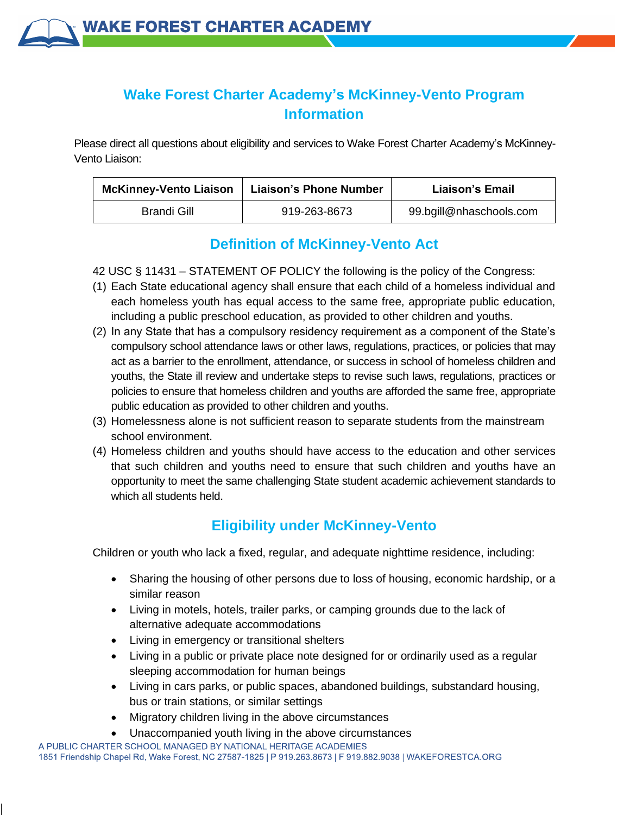

# **Wake Forest Charter Academy's McKinney-Vento Program Information**

Please direct all questions about eligibility and services to Wake Forest Charter Academy's McKinney-Vento Liaison:

| <b>McKinney-Vento Liaison</b> | <b>Liaison's Phone Number</b> | Liaison's Email         |
|-------------------------------|-------------------------------|-------------------------|
| Brandi Gill                   | 919-263-8673                  | 99.bgill@nhaschools.com |

#### **Definition of McKinney-Vento Act**

- 42 USC § 11431 STATEMENT OF POLICY the following is the policy of the Congress:
- (1) Each State educational agency shall ensure that each child of a homeless individual and each homeless youth has equal access to the same free, appropriate public education, including a public preschool education, as provided to other children and youths.
- (2) In any State that has a compulsory residency requirement as a component of the State's compulsory school attendance laws or other laws, regulations, practices, or policies that may act as a barrier to the enrollment, attendance, or success in school of homeless children and youths, the State ill review and undertake steps to revise such laws, regulations, practices or policies to ensure that homeless children and youths are afforded the same free, appropriate public education as provided to other children and youths.
- (3) Homelessness alone is not sufficient reason to separate students from the mainstream school environment.
- (4) Homeless children and youths should have access to the education and other services that such children and youths need to ensure that such children and youths have an opportunity to meet the same challenging State student academic achievement standards to which all students held.

# **Eligibility under McKinney-Vento**

Children or youth who lack a fixed, regular, and adequate nighttime residence, including:

- Sharing the housing of other persons due to loss of housing, economic hardship, or a similar reason
- Living in motels, hotels, trailer parks, or camping grounds due to the lack of alternative adequate accommodations
- Living in emergency or transitional shelters
- Living in a public or private place note designed for or ordinarily used as a regular sleeping accommodation for human beings
- Living in cars parks, or public spaces, abandoned buildings, substandard housing, bus or train stations, or similar settings
- Migratory children living in the above circumstances
- Unaccompanied youth living in the above circumstances